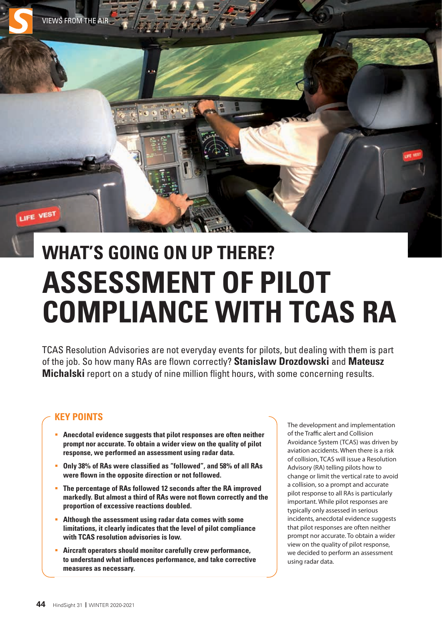

# **WHAT'S GOING ON UP THERE? ASSESSMENT OF PILOT COMPLIANCE WITH TCAS RA**

TCAS Resolution Advisories are not everyday events for pilots, but dealing with them is part of the job. So how many RAs are flown correctly? **Stanislaw Drozdowski** and **Mateusz Michalski** report on a study of nine million flight hours, with some concerning results.

## **KEY POINTS**

- **Anecdotal evidence suggests that pilot responses are often neither prompt nor accurate. To obtain a wider view on the quality of pilot response, we performed an assessment using radar data.**
- **Only 38% of RAs were classified as "followed", and 58% of all RAs were flown in the opposite direction or not followed.**
- **The percentage of RAs followed 12 seconds after the RA improved markedly. But almost a third of RAs were not flown correctly and the proportion of excessive reactions doubled.**
- **Although the assessment using radar data comes with some limitations, it clearly indicates that the level of pilot compliance with TCAS resolution advisories is low.**
- **Aircraft operators should monitor carefully crew performance, to understand what influences performance, and take corrective measures as necessary.**

The development and implementation of the Traffic alert and Collision Avoidance System (TCAS) was driven by aviation accidents. When there is a risk of collision, TCAS will issue a Resolution Advisory (RA) telling pilots how to change or limit the vertical rate to avoid a collision, so a prompt and accurate pilot response to all RAs is particularly important. While pilot responses are typically only assessed in serious incidents, anecdotal evidence suggests that pilot responses are often neither prompt nor accurate. To obtain a wider view on the quality of pilot response, we decided to perform an assessment using radar data.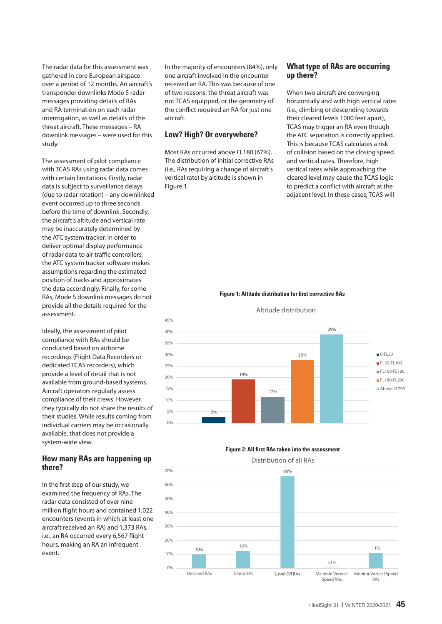The radar data for this assessment was gathered in core European airspace over a period of 12 months. An aircraft's transponder downlinks Mode S radar messages providing details of RAs and RA termination on each radar interrogation, as well as details of the threat aircraft. These messages – RA downlink messages – were used for this study.

The assessment of pilot compliance with TCAS RAs using radar data comes with certain limitations. Firstly, radar data is subject to surveillance delays (due to radar rotation) – any downlinked event occurred up to three seconds before the time of downlink. Secondly, the aircraft's altitude and vertical rate may be inaccurately determined by the ATC system tracker. In order to deliver optimal display performance of radar data to air traffic controllers, the ATC system tracker software makes assumptions regarding the estimated position of tracks and approximates the data accordingly. Finally, for some RAs, Mode S downlink messages do not provide all the details required for the assessment.

Ideally, the assessment of pilot compliance with RAs should be conducted based on airborne recordings (Flight Data Recorders or dedicated TCAS recorders), which provide a level of detail that is not available from ground-based systems. Aircraft operators regularly assess compliance of their crews. However, they typically do not share the results of their studies. While results coming from individual carriers may be occasionally available, that does not provide a system-wide view.

#### **How many RAs are happening up there?**

In the first step of our study, we examined the frequency of RAs. The radar data consisted of over nine million flight hours and contained 1,022 encounters (events in which at least one aircraft received an RA) and 1,373 RAs, i.e., an RA occurred every 6,567 flight hours, making an RA an infrequent event.

In the majority of encounters (84%), only one aircraft involved in the encounter received an RA. This was because of one of two reasons: the threat aircraft was not TCAS equipped, or the geometry of the conflict required an RA for just one aircraft.

## **Low? High? Or everywhere?**

Most RAs occurred above FL180 (67%). The distribution of initial corrective RAs (i.e., RAs requiring a change of aircraft's vertical rate) by altitude is shown in Figure 1.

#### **What type of RAs are occurring up there?**

When two aircraft are converging horizontally and with high vertical rates (i.e., climbing or descending towards their cleared levels 1000 feet apart), TCAS may trigger an RA even though the ATC separation is correctly applied. This is because TCAS calculates a risk of collision based on the closing speed and vertical rates. Therefore, high vertical rates while approaching the cleared level may cause the TCAS logic to predict a conflict with aircraft at the adjacent level. In these cases, TCAS will

#### **Figure 1: Altitude distribution for first corrective RAs**



#### Altitude distribution

#### **Figure 2: All first RAs taken into the assessment**

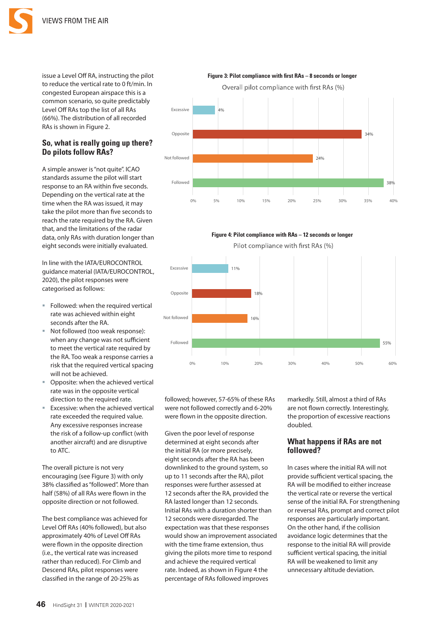

to reduce the vertical rate to 0 ft/min. In congested European airspace this is a common scenario, so quite predictably Level Off RAs top the list of all RAs (66%). The distribution of all recorded RAs is shown in Figure 2.

## **So, what is really going up there? Do pilots follow RAs?**

A simple answer is "not quite". ICAO standards assume the pilot will start response to an RA within five seconds. Depending on the vertical rate at the time when the RA was issued, it may take the pilot more than five seconds to reach the rate required by the RA. Given that, and the limitations of the radar data, only RAs with duration longer than eight seconds were initially evaluated.

In line with the IATA/EUROCONTROL guidance material (IATA/EUROCONTROL, 2020), the pilot responses were categorised as follows:

- Followed: when the required vertical rate was achieved within eight seconds after the RA.
- Not followed (too weak response): when any change was not sufficient to meet the vertical rate required by the RA. Too weak a response carries a risk that the required vertical spacing will not be achieved.
- Opposite: when the achieved vertical rate was in the opposite vertical direction to the required rate.
- Excessive: when the achieved vertical rate exceeded the required value. Any excessive responses increase the risk of a follow-up conflict (with another aircraft) and are disruptive to ATC.

The overall picture is not very encouraging (see Figure 3) with only 38% classified as "followed". More than half (58%) of all RAs were flown in the opposite direction or not followed.

The best compliance was achieved for Level Off RAs (40% followed), but also approximately 40% of Level Off RAs were flown in the opposite direction (i.e., the vertical rate was increased rather than reduced). For Climb and Descend RAs, pilot responses were classified in the range of 20-25% as



**Figure 4: Pilot compliance with RAs – 12 seconds or longer**



followed; however, 57-65% of these RAs were not followed correctly and 6-20% were flown in the opposite direction.

Given the poor level of response determined at eight seconds after the initial RA (or more precisely, eight seconds after the RA has been downlinked to the ground system, so up to 11 seconds after the RA), pilot responses were further assessed at 12 seconds after the RA, provided the RA lasted longer than 12 seconds. Initial RAs with a duration shorter than 12 seconds were disregarded. The expectation was that these responses would show an improvement associated with the time frame extension, thus giving the pilots more time to respond and achieve the required vertical rate. Indeed, as shown in Figure 4 the percentage of RAs followed improves

markedly. Still, almost a third of RAs are not flown correctly. Interestingly, the proportion of excessive reactions doubled.

#### **What happens if RAs are not followed?**

In cases where the initial RA will not provide sufficient vertical spacing, the RA will be modified to either increase the vertical rate or reverse the vertical sense of the initial RA. For strengthening or reversal RAs, prompt and correct pilot responses are particularly important. On the other hand, if the collision avoidance logic determines that the response to the initial RA will provide sufficient vertical spacing, the initial RA will be weakened to limit any unnecessary altitude deviation.

issue a Level Off RA, instructing the pilot **Figure 3: Pilot compliance with first RAs – 8 seconds or longer**

Overall pilot compliance with first RAs (%)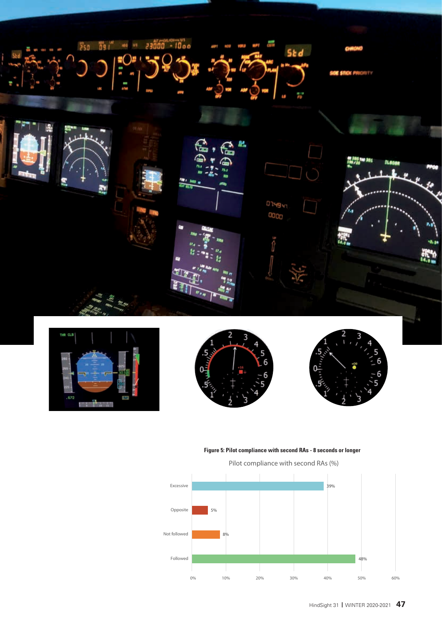







#### **Figure 5: Pilot compliance with second RAs - 8 seconds or longer**